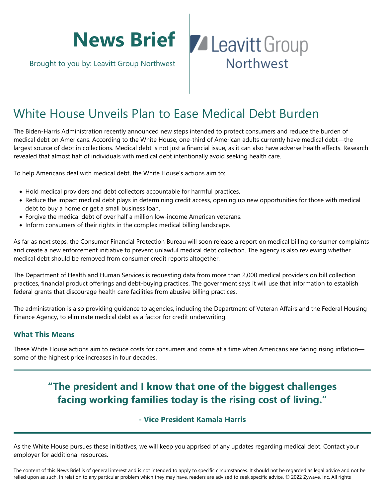# **News Brief**

Brought to you by: Leavitt Group Northwest

## **Z** Leavitt Group Northwest

### White House Unveils Plan to Ease Medical Debt Burden

The Biden-Harris Administration recently announced new steps intended to protect consumers and reduce the burden of medical debt on Americans. According to the White House, one-third of American adults currently have medical debt—the largest source of debt in collections. Medical debt is not just a financial issue, as it can also have adverse health effects. Research revealed that almost half of individuals with medical debt intentionally avoid seeking health care.

To help Americans deal with medical debt, the White House's actions aim to:

- Hold medical providers and debt collectors accountable for harmful practices.
- Reduce the impact medical debt plays in determining credit access, opening up new opportunities for those with medical debt to buy a home or get a small business loan.
- Forgive the medical debt of over half a million low-income American veterans.
- Inform consumers of their rights in the complex medical billing landscape.

As far as next steps, the Consumer Financial Protection Bureau will soon release a report on medical billing consumer complaints and create a new enforcement initiative to prevent unlawful medical debt collection. The agency is also reviewing whether medical debt should be removed from consumer credit reports altogether.

The Department of Health and Human Services is requesting data from more than 2,000 medical providers on bill collection practices, financial product offerings and debt-buying practices. The government says it will use that information to establish federal grants that discourage health care facilities from abusive billing practices.

The administration is also providing guidance to agencies, including the Department of Veteran Affairs and the Federal Housing Finance Agency, to eliminate medical debt as a factor for credit underwriting.

#### **What This Means**

These White House actions aim to reduce costs for consumers and come at a time when Americans are facing rising inflation some of the highest price increases in four decades.

### **"The president and I know that one of the biggest challenges facing working families today is the rising cost of living."**

#### **- Vice President Kamala Harris**

As the White House pursues these initiatives, we will keep you apprised of any updates regarding medical debt. Contact your employer for additional resources.

The content of this News Brief is of general interest and is not intended to apply to specific circumstances. It should not be regarded as legal advice and not be relied upon as such. In relation to any particular problem which they may have, readers are advised to seek specific advice. © 2022 Zywave, Inc. All rights